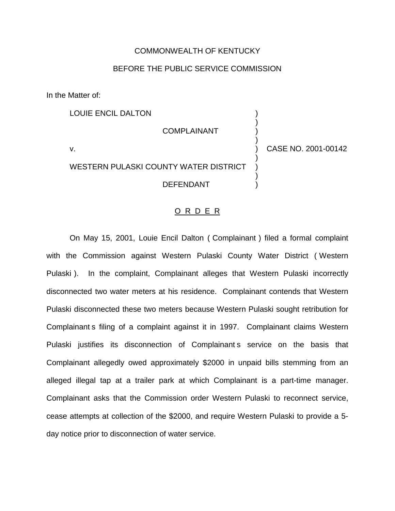## COMMONWEALTH OF KENTUCKY

# BEFORE THE PUBLIC SERVICE COMMISSION

In the Matter of:

LOUIE ENCIL DALTON

**COMPLAINANT** 

v. ) CASE NO. 2001-00142

)

)

)

)

WESTERN PULASKI COUNTY WATER DISTRICT **DEFENDANT** 

#### O R D E R

On May 15, 2001, Louie Encil Dalton ( Complainant ) filed a formal complaint with the Commission against Western Pulaski County Water District ( Western Pulaski ). In the complaint, Complainant alleges that Western Pulaski incorrectly disconnected two water meters at his residence. Complainant contends that Western Pulaski disconnected these two meters because Western Pulaski sought retribution for Complainant s filing of a complaint against it in 1997. Complainant claims Western Pulaski justifies its disconnection of Complainant s service on the basis that Complainant allegedly owed approximately \$2000 in unpaid bills stemming from an alleged illegal tap at a trailer park at which Complainant is a part-time manager. Complainant asks that the Commission order Western Pulaski to reconnect service, cease attempts at collection of the \$2000, and require Western Pulaski to provide a 5 day notice prior to disconnection of water service.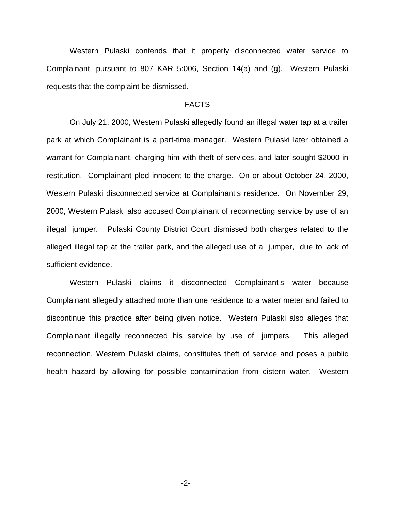Western Pulaski contends that it properly disconnected water service to Complainant, pursuant to 807 KAR 5:006, Section 14(a) and (g). Western Pulaski requests that the complaint be dismissed.

### FACTS

On July 21, 2000, Western Pulaski allegedly found an illegal water tap at a trailer park at which Complainant is a part-time manager. Western Pulaski later obtained a warrant for Complainant, charging him with theft of services, and later sought \$2000 in restitution. Complainant pled innocent to the charge. On or about October 24, 2000, Western Pulaski disconnected service at Complainant s residence. On November 29, 2000, Western Pulaski also accused Complainant of reconnecting service by use of an illegal jumper. Pulaski County District Court dismissed both charges related to the alleged illegal tap at the trailer park, and the alleged use of a jumper, due to lack of sufficient evidence.

Western Pulaski claims it disconnected Complainant s water because Complainant allegedly attached more than one residence to a water meter and failed to discontinue this practice after being given notice. Western Pulaski also alleges that Complainant illegally reconnected his service by use of jumpers. This alleged reconnection, Western Pulaski claims, constitutes theft of service and poses a public health hazard by allowing for possible contamination from cistern water. Western

-2-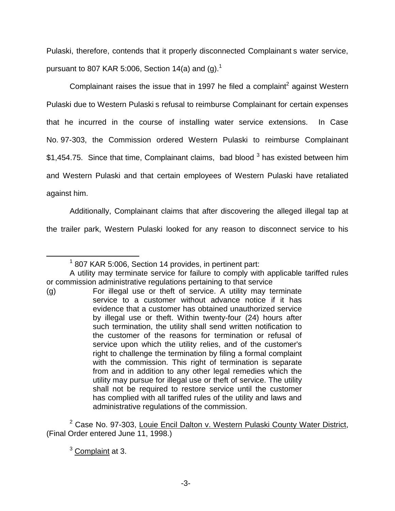Pulaski, therefore, contends that it properly disconnected Complainant s water service, pursuant to 807 KAR 5:006, Section 14(a) and  $(q)$ .<sup>1</sup>

Complainant raises the issue that in 1997 he filed a complaint<sup>2</sup> against Western Pulaski due to Western Pulaski s refusal to reimburse Complainant for certain expenses that he incurred in the course of installing water service extensions. In Case No. 97-303, the Commission ordered Western Pulaski to reimburse Complainant  $$1,454.75$ . Since that time, Complainant claims, bad blood  $3$  has existed between him and Western Pulaski and that certain employees of Western Pulaski have retaliated against him.

Additionally, Complainant claims that after discovering the alleged illegal tap at the trailer park, Western Pulaski looked for any reason to disconnect service to his

<sup>2</sup> Case No. 97-303, Louie Encil Dalton v. Western Pulaski County Water District, (Final Order entered June 11, 1998.)

 $3$  Complaint at 3.

 $1$  807 KAR 5:006, Section 14 provides, in pertinent part:

A utility may terminate service for failure to comply with applicable tariffed rules or commission administrative regulations pertaining to that service

<sup>(</sup>g) For illegal use or theft of service. A utility may terminate service to a customer without advance notice if it has evidence that a customer has obtained unauthorized service by illegal use or theft. Within twenty-four (24) hours after such termination, the utility shall send written notification to the customer of the reasons for termination or refusal of service upon which the utility relies, and of the customer's right to challenge the termination by filing a formal complaint with the commission. This right of termination is separate from and in addition to any other legal remedies which the utility may pursue for illegal use or theft of service. The utility shall not be required to restore service until the customer has complied with all tariffed rules of the utility and laws and administrative regulations of the commission.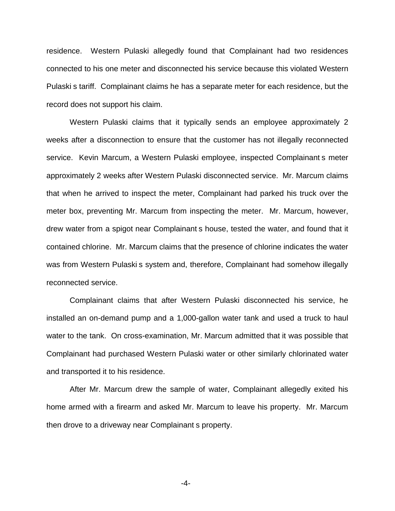residence. Western Pulaski allegedly found that Complainant had two residences connected to his one meter and disconnected his service because this violated Western Pulaski s tariff. Complainant claims he has a separate meter for each residence, but the record does not support his claim.

Western Pulaski claims that it typically sends an employee approximately 2 weeks after a disconnection to ensure that the customer has not illegally reconnected service. Kevin Marcum, a Western Pulaski employee, inspected Complainant s meter approximately 2 weeks after Western Pulaski disconnected service. Mr. Marcum claims that when he arrived to inspect the meter, Complainant had parked his truck over the meter box, preventing Mr. Marcum from inspecting the meter. Mr. Marcum, however, drew water from a spigot near Complainant s house, tested the water, and found that it contained chlorine. Mr. Marcum claims that the presence of chlorine indicates the water was from Western Pulaski s system and, therefore, Complainant had somehow illegally reconnected service.

Complainant claims that after Western Pulaski disconnected his service, he installed an on-demand pump and a 1,000-gallon water tank and used a truck to haul water to the tank. On cross-examination, Mr. Marcum admitted that it was possible that Complainant had purchased Western Pulaski water or other similarly chlorinated water and transported it to his residence.

After Mr. Marcum drew the sample of water, Complainant allegedly exited his home armed with a firearm and asked Mr. Marcum to leave his property. Mr. Marcum then drove to a driveway near Complainant s property.

-4-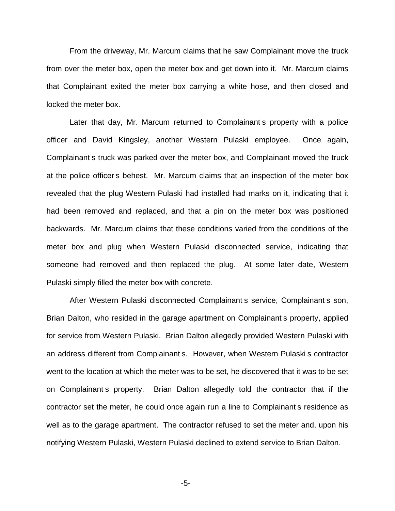From the driveway, Mr. Marcum claims that he saw Complainant move the truck from over the meter box, open the meter box and get down into it. Mr. Marcum claims that Complainant exited the meter box carrying a white hose, and then closed and locked the meter box.

Later that day, Mr. Marcum returned to Complainant s property with a police officer and David Kingsley, another Western Pulaski employee. Once again, Complainant s truck was parked over the meter box, and Complainant moved the truck at the police officer s behest. Mr. Marcum claims that an inspection of the meter box revealed that the plug Western Pulaski had installed had marks on it, indicating that it had been removed and replaced, and that a pin on the meter box was positioned backwards. Mr. Marcum claims that these conditions varied from the conditions of the meter box and plug when Western Pulaski disconnected service, indicating that someone had removed and then replaced the plug. At some later date, Western Pulaski simply filled the meter box with concrete.

After Western Pulaski disconnected Complainant s service, Complainant s son, Brian Dalton, who resided in the garage apartment on Complainant s property, applied for service from Western Pulaski. Brian Dalton allegedly provided Western Pulaski with an address different from Complainant s. However, when Western Pulaski s contractor went to the location at which the meter was to be set, he discovered that it was to be set on Complainant s property. Brian Dalton allegedly told the contractor that if the contractor set the meter, he could once again run a line to Complainant s residence as well as to the garage apartment. The contractor refused to set the meter and, upon his notifying Western Pulaski, Western Pulaski declined to extend service to Brian Dalton.

-5-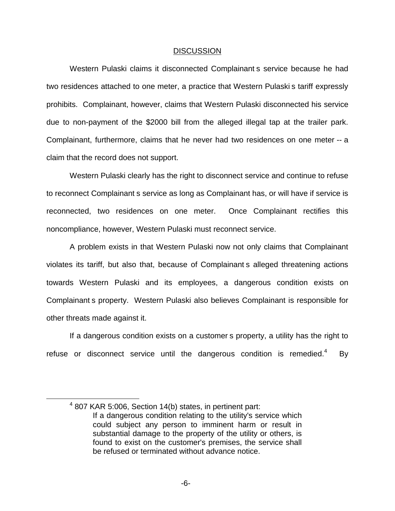#### DISCUSSION

Western Pulaski claims it disconnected Complainant s service because he had two residences attached to one meter, a practice that Western Pulaski s tariff expressly prohibits. Complainant, however, claims that Western Pulaski disconnected his service due to non-payment of the \$2000 bill from the alleged illegal tap at the trailer park. Complainant, furthermore, claims that he never had two residences on one meter -- a claim that the record does not support.

Western Pulaski clearly has the right to disconnect service and continue to refuse to reconnect Complainant s service as long as Complainant has, or will have if service is reconnected, two residences on one meter. Once Complainant rectifies this noncompliance, however, Western Pulaski must reconnect service.

A problem exists in that Western Pulaski now not only claims that Complainant violates its tariff, but also that, because of Complainant s alleged threatening actions towards Western Pulaski and its employees, a dangerous condition exists on Complainant s property. Western Pulaski also believes Complainant is responsible for other threats made against it.

If a dangerous condition exists on a customer s property, a utility has the right to refuse or disconnect service until the dangerous condition is remedied.<sup>4</sup> By

 $4$  807 KAR 5:006, Section 14(b) states, in pertinent part: If a dangerous condition relating to the utility's service which could subject any person to imminent harm or result in substantial damage to the property of the utility or others, is found to exist on the customer's premises, the service shall be refused or terminated without advance notice.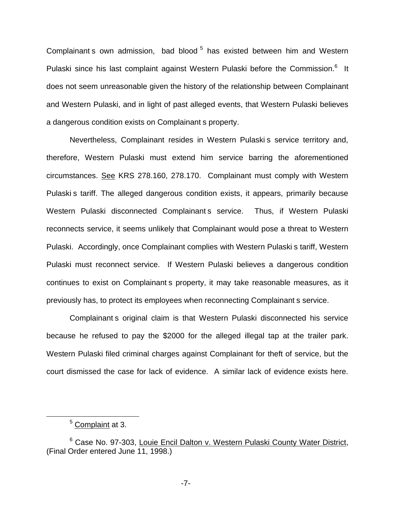Complainant s own admission, bad blood<sup>5</sup> has existed between him and Western Pulaski since his last complaint against Western Pulaski before the Commission.<sup>6</sup> It does not seem unreasonable given the history of the relationship between Complainant and Western Pulaski, and in light of past alleged events, that Western Pulaski believes a dangerous condition exists on Complainant s property.

Nevertheless, Complainant resides in Western Pulaski s service territory and, therefore, Western Pulaski must extend him service barring the aforementioned circumstances. See KRS 278.160, 278.170. Complainant must comply with Western Pulaski s tariff. The alleged dangerous condition exists, it appears, primarily because Western Pulaski disconnected Complainant s service. Thus, if Western Pulaski reconnects service, it seems unlikely that Complainant would pose a threat to Western Pulaski. Accordingly, once Complainant complies with Western Pulaski s tariff, Western Pulaski must reconnect service. If Western Pulaski believes a dangerous condition continues to exist on Complainant s property, it may take reasonable measures, as it previously has, to protect its employees when reconnecting Complainant s service.

Complainant s original claim is that Western Pulaski disconnected his service because he refused to pay the \$2000 for the alleged illegal tap at the trailer park. Western Pulaski filed criminal charges against Complainant for theft of service, but the court dismissed the case for lack of evidence. A similar lack of evidence exists here.

<sup>5</sup> Complaint at 3.

<sup>6</sup> Case No. 97-303, Louie Encil Dalton v. Western Pulaski County Water District, (Final Order entered June 11, 1998.)